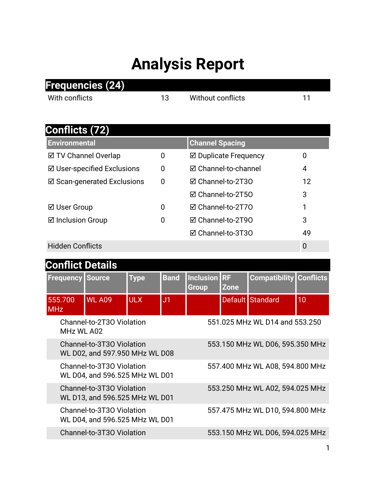## **Analysis Report**

|                             | Frequencies (24)                                            |                   |                |                        |                          |                                 |                  |  |  |
|-----------------------------|-------------------------------------------------------------|-------------------|----------------|------------------------|--------------------------|---------------------------------|------------------|--|--|
| With conflicts              |                                                             |                   | 13             |                        | <b>Without conflicts</b> |                                 |                  |  |  |
|                             |                                                             |                   |                |                        |                          |                                 |                  |  |  |
| <b>Conflicts (72)</b>       |                                                             |                   |                |                        |                          |                                 |                  |  |  |
| <b>Environmental</b>        |                                                             |                   |                | <b>Channel Spacing</b> |                          |                                 |                  |  |  |
| ☑ TV Channel Overlap        |                                                             |                   | 0              | ☑ Duplicate Frequency  | $\mathbf 0$              |                                 |                  |  |  |
| ☑ User-specified Exclusions |                                                             |                   | 0              | ☑ Channel-to-channel   |                          |                                 | 4                |  |  |
| ☑ Scan-generated Exclusions |                                                             |                   | 0              | ☑ Channel-to-2T30      |                          |                                 | 12               |  |  |
|                             |                                                             |                   |                | ☑ Channel-to-2T50      |                          |                                 | 3                |  |  |
| ⊠ User Group                |                                                             |                   | 0              | ☑ Channel-to-2T70      |                          |                                 | 1                |  |  |
| <b>⊠</b> Inclusion Group    |                                                             |                   | 0              | ☑ Channel-to-2T90      |                          |                                 | 3                |  |  |
|                             |                                                             | ☑ Channel-to-3T30 |                |                        | 49                       |                                 |                  |  |  |
| <b>Hidden Conflicts</b>     |                                                             |                   |                |                        |                          |                                 | $\mathbf 0$      |  |  |
| <b>Conflict Details</b>     |                                                             |                   |                |                        |                          |                                 |                  |  |  |
| <b>Frequency</b>            | <b>Source</b>                                               | <b>Type</b>       | <b>Band</b>    | Inclusion RF           |                          | <b>Compatibility</b>            | <b>Conflicts</b> |  |  |
|                             |                                                             |                   |                | Group                  | <b>Zone</b>              |                                 |                  |  |  |
| 555.700<br><b>MHz</b>       | <b>WL A09</b>                                               | <b>ULX</b>        | J <sub>1</sub> |                        |                          | Default Standard                | 10               |  |  |
| MHz WL A02                  | Channel-to-2T30 Violation                                   |                   |                |                        |                          | 551.025 MHz WL D14 and 553.250  |                  |  |  |
|                             | Channel-to-3T30 Violation<br>WL D02, and 597.950 MHz WL D08 |                   |                |                        |                          | 553.150 MHz WL D06, 595.350 MHz |                  |  |  |
|                             | Channel-to-3T30 Violation<br>WL D04, and 596.525 MHz WL D01 |                   |                |                        |                          | 557.400 MHz WL A08, 594.800 MHz |                  |  |  |
|                             | Channel-to-3T30 Violation<br>WL D13, and 596.525 MHz WL D01 |                   |                |                        |                          | 553.250 MHz WL A02, 594.025 MHz |                  |  |  |

Channel-to-3T3O Violation 553.150 MHz WL D06, 594.025 MHz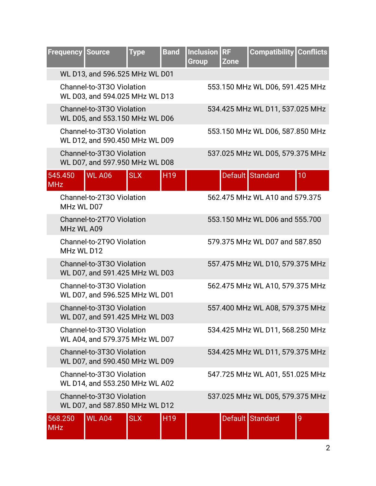|                                    | WL D13, and 596.525 MHz WL D01                              |            |                 |  |                                 |                     |
|------------------------------------|-------------------------------------------------------------|------------|-----------------|--|---------------------------------|---------------------|
|                                    |                                                             |            |                 |  |                                 |                     |
|                                    | Channel-to-3T30 Violation<br>WL D03, and 594.025 MHz WL D13 |            |                 |  | 553.150 MHz WL D06, 591.425 MHz |                     |
|                                    | Channel-to-3T30 Violation<br>WL D05, and 553.150 MHz WL D06 |            |                 |  | 534.425 MHz WL D11, 537.025 MHz |                     |
|                                    | Channel-to-3T30 Violation<br>WL D12, and 590.450 MHz WL D09 |            |                 |  | 553.150 MHz WL D06, 587.850 MHz |                     |
|                                    | Channel-to-3T30 Violation<br>WL D07, and 597.950 MHz WL D08 |            |                 |  | 537.025 MHz WL D05, 579.375 MHz |                     |
| 545.450<br><b>MHz</b>              | <b>WL A06</b>                                               | <b>SLX</b> | H <sub>19</sub> |  | Default Standard                | 10                  |
|                                    | Channel-to-2T30 Violation<br>MHz WL D07                     |            |                 |  | 562.475 MHz WL A10 and 579.375  |                     |
|                                    | Channel-to-2T70 Violation<br>MHz WL A09                     |            |                 |  | 553.150 MHz WL D06 and 555.700  |                     |
|                                    | Channel-to-2T90 Violation<br>MHz WL D12                     |            |                 |  | 579.375 MHz WL D07 and 587.850  |                     |
|                                    | Channel-to-3T30 Violation<br>WL D07, and 591.425 MHz WL D03 |            |                 |  | 557.475 MHz WL D10, 579.375 MHz |                     |
|                                    | Channel-to-3T30 Violation<br>WL D07, and 596.525 MHz WL D01 |            |                 |  | 562.475 MHz WL A10, 579.375 MHz |                     |
|                                    | Channel-to-3T30 Violation<br>WL D07, and 591.425 MHz WL D03 |            |                 |  | 557.400 MHz WL A08, 579.375 MHz |                     |
|                                    | Channel-to-3T30 Violation<br>WL A04, and 579.375 MHz WL D07 |            |                 |  | 534.425 MHz WL D11, 568.250 MHz |                     |
|                                    | Channel-to-3T30 Violation<br>WL D07, and 590.450 MHz WL D09 |            |                 |  | 534.425 MHz WL D11, 579.375 MHz |                     |
|                                    | Channel-to-3T30 Violation<br>WL D14, and 553.250 MHz WL A02 |            |                 |  | 547.725 MHz WL A01, 551.025 MHz |                     |
|                                    | Channel-to-3T30 Violation<br>WL D07, and 587.850 MHz WL D12 |            |                 |  | 537.025 MHz WL D05, 579.375 MHz |                     |
| 568.250<br>$\overline{\text{MHz}}$ | <b>WL A04</b>                                               | <b>SLX</b> | H <sub>19</sub> |  | Default Standard                | 9<br>$\overline{2}$ |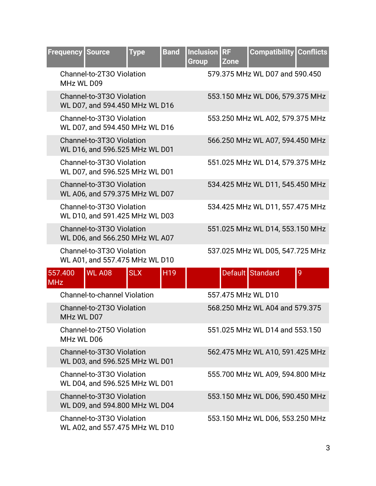|            | <b>Frequency</b> | <b>Source</b>                                               | <b>Type</b> | <b>Band</b> | Inclusion RF<br>Group | <b>Zone</b> | <b>Compatibility Conflicts</b>  |   |
|------------|------------------|-------------------------------------------------------------|-------------|-------------|-----------------------|-------------|---------------------------------|---|
|            | MHz WL D09       | Channel-to-2T30 Violation                                   |             |             |                       |             | 579.375 MHz WL D07 and 590.450  |   |
|            |                  | Channel-to-3T30 Violation<br>WL D07, and 594.450 MHz WL D16 |             |             |                       |             | 553.150 MHz WL D06, 579.375 MHz |   |
|            |                  | Channel-to-3T30 Violation<br>WL D07, and 594.450 MHz WL D16 |             |             |                       |             | 553.250 MHz WL A02, 579.375 MHz |   |
|            |                  | Channel-to-3T30 Violation<br>WL D16, and 596.525 MHz WL D01 |             |             |                       |             | 566.250 MHz WL A07, 594.450 MHz |   |
|            |                  | Channel-to-3T30 Violation<br>WL D07, and 596.525 MHz WL D01 |             |             |                       |             | 551.025 MHz WL D14, 579.375 MHz |   |
|            |                  | Channel-to-3T30 Violation<br>WL A06, and 579.375 MHz WL D07 |             |             |                       |             | 534.425 MHz WL D11, 545.450 MHz |   |
|            |                  | Channel-to-3T30 Violation<br>WL D10, and 591.425 MHz WL D03 |             |             |                       |             | 534.425 MHz WL D11, 557.475 MHz |   |
|            |                  | Channel-to-3T30 Violation<br>WL D06, and 566.250 MHz WL A07 |             |             |                       |             | 551.025 MHz WL D14, 553.150 MHz |   |
|            |                  | Channel-to-3T30 Violation<br>WL A01, and 557.475 MHz WL D10 |             |             |                       |             | 537.025 MHz WL D05, 547.725 MHz |   |
| <b>MHz</b> | 557.400          | <b>WL A08</b>                                               | <b>SLX</b>  | H19         |                       |             | Default Standard                | 9 |
|            |                  | <b>Channel-to-channel Violation</b>                         |             |             |                       |             | 557.475 MHz WL D10              |   |
|            | MHz WL D07       | Channel-to-2T30 Violation                                   |             |             |                       |             | 568,250 MHz WL A04 and 579,375  |   |
|            | MHz WL D06       | Channel-to-2T50 Violation                                   |             |             |                       |             | 551.025 MHz WL D14 and 553.150  |   |
|            |                  | Channel-to-3T30 Violation<br>WL D03, and 596.525 MHz WL D01 |             |             |                       |             | 562.475 MHz WL A10, 591.425 MHz |   |
|            |                  | Channel-to-3T30 Violation<br>WL D04, and 596.525 MHz WL D01 |             |             |                       |             | 555.700 MHz WL A09, 594.800 MHz |   |
|            |                  | Channel-to-3T30 Violation<br>WL D09, and 594.800 MHz WL D04 |             |             |                       |             | 553.150 MHz WL D06, 590.450 MHz |   |
|            |                  | Channel-to-3T30 Violation<br>WL A02, and 557.475 MHz WL D10 |             |             |                       |             | 553.150 MHz WL D06, 553.250 MHz |   |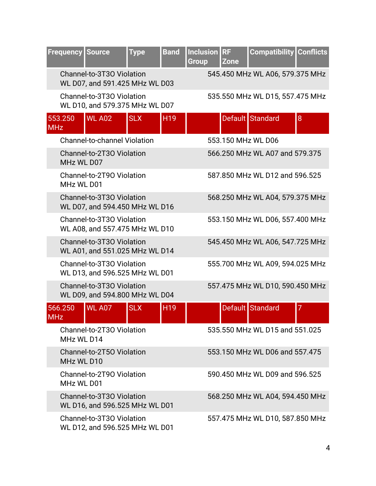| <b>Frequency</b>      | <b>Source</b>                                               | <b>Type</b> | <b>Band</b>     | <b>Inclusion</b><br><b>Group</b> | <b>RF</b><br><b>Zone</b>       |  | <b>Compatibility Conflicts</b>  |
|-----------------------|-------------------------------------------------------------|-------------|-----------------|----------------------------------|--------------------------------|--|---------------------------------|
|                       | Channel-to-3T30 Violation<br>WL D07, and 591.425 MHz WL D03 |             |                 |                                  |                                |  | 545.450 MHz WL A06, 579.375 MHz |
|                       | Channel-to-3T30 Violation<br>WL D10, and 579.375 MHz WL D07 |             |                 |                                  |                                |  | 535.550 MHz WL D15, 557.475 MHz |
| 553.250<br><b>MHz</b> | <b>WL A02</b>                                               | <b>SLX</b>  | H <sub>19</sub> |                                  | Default Standard               |  | 8                               |
|                       | <b>Channel-to-channel Violation</b>                         |             |                 |                                  | 553.150 MHz WL D06             |  |                                 |
|                       | Channel-to-2T30 Violation<br>MHz WL D07                     |             |                 |                                  | 566.250 MHz WL A07 and 579.375 |  |                                 |
|                       | Channel-to-2T90 Violation<br>MHz WL D01                     |             |                 |                                  | 587.850 MHz WL D12 and 596.525 |  |                                 |
|                       | Channel-to-3T30 Violation<br>WL D07, and 594.450 MHz WL D16 |             |                 |                                  |                                |  | 568.250 MHz WL A04, 579.375 MHz |
|                       | Channel-to-3T30 Violation<br>WL A08, and 557.475 MHz WL D10 |             |                 |                                  |                                |  | 553.150 MHz WL D06, 557.400 MHz |
|                       | Channel-to-3T30 Violation<br>WL A01, and 551.025 MHz WL D14 |             |                 |                                  |                                |  | 545.450 MHz WL A06, 547.725 MHz |
|                       | Channel-to-3T30 Violation<br>WL D13, and 596.525 MHz WL D01 |             |                 |                                  |                                |  | 555.700 MHz WL A09, 594.025 MHz |
|                       | Channel-to-3T30 Violation<br>WL D09, and 594.800 MHz WL D04 |             |                 |                                  |                                |  | 557.475 MHz WL D10, 590.450 MHz |
| 566.250<br><b>MHz</b> | <b>WL A07</b>                                               | <b>SLX</b>  | H <sub>19</sub> |                                  | Default Standard               |  | 7                               |
|                       | Channel-to-2T30 Violation<br>MHz WL D14                     |             |                 |                                  | 535.550 MHz WL D15 and 551.025 |  |                                 |
|                       | Channel-to-2T50 Violation<br>MHz WL D10                     |             |                 |                                  | 553.150 MHz WL D06 and 557.475 |  |                                 |
|                       | Channel-to-2T90 Violation<br>MHz WL D01                     |             |                 |                                  | 590.450 MHz WL D09 and 596.525 |  |                                 |
|                       | Channel-to-3T30 Violation<br>WL D16, and 596.525 MHz WL D01 |             |                 |                                  |                                |  | 568.250 MHz WL A04, 594.450 MHz |
|                       | Channel-to-3T30 Violation<br>WL D12, and 596.525 MHz WL D01 |             |                 |                                  |                                |  | 557.475 MHz WL D10, 587.850 MHz |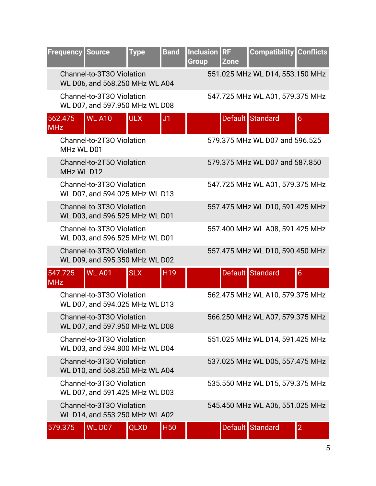| <b>Frequency</b>      | <b>Source</b>                                               | <b>Type</b> | <b>Band</b>     | Inclusion RF<br><b>Group</b> | <b>Zone</b> | <b>Compatibility</b>            | <b>Conflicts</b> |
|-----------------------|-------------------------------------------------------------|-------------|-----------------|------------------------------|-------------|---------------------------------|------------------|
|                       | Channel-to-3T30 Violation<br>WL D06, and 568.250 MHz WL A04 |             |                 |                              |             | 551.025 MHz WL D14, 553.150 MHz |                  |
|                       | Channel-to-3T30 Violation<br>WL D07, and 597.950 MHz WL D08 |             |                 |                              |             | 547.725 MHz WL A01, 579.375 MHz |                  |
| 562.475<br><b>MHz</b> | <b>WL A10</b>                                               | <b>ULX</b>  | J1              |                              |             | Default Standard                | 6                |
| MHz WL D01            | Channel-to-2T30 Violation                                   |             |                 |                              |             | 579.375 MHz WL D07 and 596.525  |                  |
| MHz WL D12            | Channel-to-2T50 Violation                                   |             |                 |                              |             | 579.375 MHz WL D07 and 587.850  |                  |
|                       | Channel-to-3T30 Violation<br>WL D07, and 594.025 MHz WL D13 |             |                 |                              |             | 547.725 MHz WL A01, 579.375 MHz |                  |
|                       | Channel-to-3T30 Violation<br>WL D03, and 596.525 MHz WL D01 |             |                 |                              |             | 557.475 MHz WL D10, 591.425 MHz |                  |
|                       | Channel-to-3T30 Violation<br>WL D03, and 596.525 MHz WL D01 |             |                 |                              |             | 557.400 MHz WL A08, 591.425 MHz |                  |
|                       | Channel-to-3T30 Violation<br>WL D09, and 595.350 MHz WL D02 |             |                 |                              |             | 557.475 MHz WL D10, 590.450 MHz |                  |
| 547.725<br><b>MHz</b> | <b>WL A01</b>                                               | <b>SLX</b>  | H <sub>19</sub> |                              |             | Default Standard                | $6\overline{6}$  |
|                       | Channel-to-3T30 Violation<br>WL D07, and 594.025 MHz WL D13 |             |                 |                              |             | 562.475 MHz WL A10, 579.375 MHz |                  |
|                       | Channel-to-3T30 Violation<br>WL D07, and 597.950 MHz WL D08 |             |                 |                              |             | 566.250 MHz WL A07, 579.375 MHz |                  |
|                       | Channel-to-3T30 Violation<br>WL D03, and 594.800 MHz WL D04 |             |                 |                              |             | 551.025 MHz WL D14, 591.425 MHz |                  |
|                       | Channel-to-3T30 Violation<br>WL D10, and 568.250 MHz WL A04 |             |                 |                              |             | 537.025 MHz WL D05, 557.475 MHz |                  |
|                       | Channel-to-3T30 Violation<br>WL D07, and 591.425 MHz WL D03 |             |                 |                              |             | 535.550 MHz WL D15, 579.375 MHz |                  |
|                       | Channel-to-3T30 Violation<br>WL D14, and 553.250 MHz WL A02 |             |                 |                              |             | 545.450 MHz WL A06, 551.025 MHz |                  |
| 579.375               | <b>WL D07</b>                                               | <b>QLXD</b> | <b>H50</b>      |                              |             | Default Standard                | $\overline{2}$   |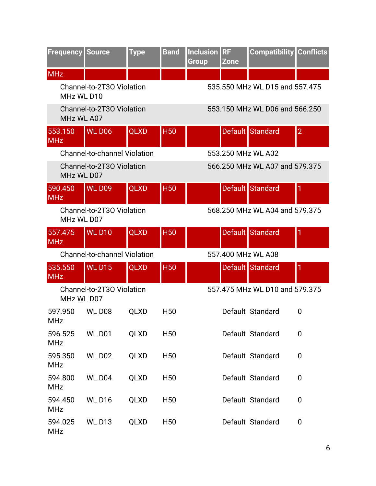| <b>Frequency Source</b> |                                     | <b>Type</b> | <b>Band</b>     | <b>Inclusion</b><br><b>Group</b> | <b>RF</b><br><b>Zone</b> | <b>Compatibility   Conflicts</b> |                |  |
|-------------------------|-------------------------------------|-------------|-----------------|----------------------------------|--------------------------|----------------------------------|----------------|--|
| <b>MHz</b>              |                                     |             |                 |                                  |                          |                                  |                |  |
| MHz WL D10              | Channel-to-2T30 Violation           |             |                 | 535.550 MHz WL D15 and 557.475   |                          |                                  |                |  |
| MHz WL A07              | Channel-to-2T30 Violation           |             |                 |                                  |                          | 553.150 MHz WL D06 and 566.250   |                |  |
| 553.150<br><b>MHz</b>   | <b>WL D06</b>                       | <b>QLXD</b> | <b>H50</b>      |                                  |                          | Default Standard                 | $\overline{2}$ |  |
|                         | <b>Channel-to-channel Violation</b> |             |                 |                                  |                          | 553.250 MHz WL A02               |                |  |
| MHz WL D07              | Channel-to-2T30 Violation           |             |                 |                                  |                          | 566,250 MHz WL A07 and 579,375   |                |  |
| 590.450<br><b>MHz</b>   | <b>WL D09</b>                       | QLXD        | <b>H50</b>      |                                  |                          | Default Standard                 | 1              |  |
| MHz WL D07              | Channel-to-2T30 Violation           |             |                 |                                  |                          | 568,250 MHz WL A04 and 579,375   |                |  |
| 557.475<br><b>MHz</b>   | <b>WL D10</b>                       | QLXD        | <b>H50</b>      |                                  |                          | Default Standard                 | 1              |  |
|                         | <b>Channel-to-channel Violation</b> |             |                 | 557.400 MHz WL A08               |                          |                                  |                |  |
| 535.550<br><b>MHz</b>   | <b>WLD15</b>                        | <b>QLXD</b> | <b>H50</b>      |                                  |                          | Default Standard                 | 1              |  |
| MHz WL D07              | Channel-to-2T30 Violation           |             |                 |                                  |                          | 557.475 MHz WL D10 and 579.375   |                |  |
| 597.950<br>MHz          | WL D <sub>08</sub>                  | <b>QLXD</b> | H <sub>50</sub> |                                  |                          | Default Standard                 | $\overline{0}$ |  |
| 596.525<br><b>MHz</b>   | <b>WL D01</b>                       | <b>QLXD</b> | H <sub>50</sub> |                                  |                          | Default Standard                 | 0              |  |
| 595.350<br><b>MHz</b>   | <b>WL D02</b>                       | <b>QLXD</b> | H <sub>50</sub> |                                  |                          | Default Standard                 | 0              |  |
| 594.800<br><b>MHz</b>   | WL D04                              | QLXD        | H <sub>50</sub> |                                  |                          | Default Standard                 | 0              |  |
| 594.450<br><b>MHz</b>   | <b>WLD16</b>                        | <b>QLXD</b> | H <sub>50</sub> |                                  |                          | Default Standard                 | 0              |  |
| 594.025<br><b>MHz</b>   | <b>WLD13</b>                        | QLXD        | H <sub>50</sub> |                                  |                          | Default Standard                 | $\mathbf 0$    |  |